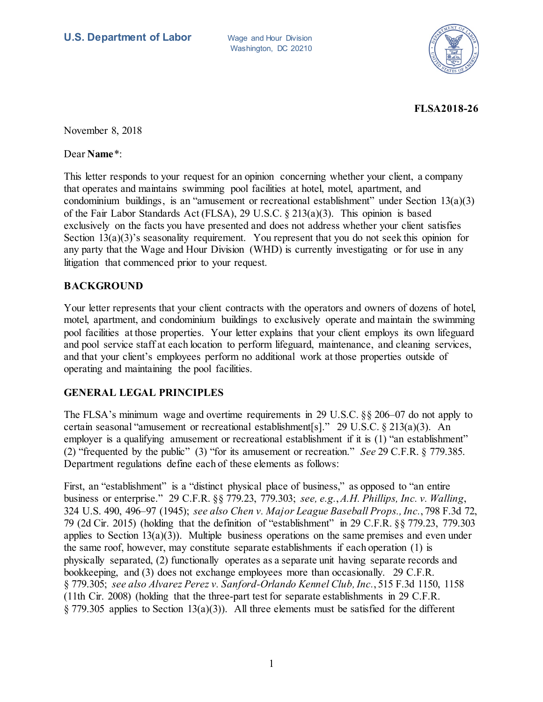Washington, DC 20210



**FLSA2018-26**

November 8, 2018

Dear **Name**\*:

This letter responds to your request for an opinion concerning whether your client, a company that operates and maintains swimming pool facilities at hotel, motel, apartment, and condominium buildings, is an "amusement or recreational establishment" under Section 13(a)(3) of the Fair Labor Standards Act (FLSA), 29 U.S.C. § 213(a)(3). This opinion is based exclusively on the facts you have presented and does not address whether your client satisfies Section 13(a)(3)'s seasonality requirement. You represent that you do not seek this opinion for any party that the Wage and Hour Division (WHD) is currently investigating or for use in any litigation that commenced prior to your request.

## **BACKGROUND**

Your letter represents that your client contracts with the operators and owners of dozens of hotel, motel, apartment, and condominium buildings to exclusively operate and maintain the swimming pool facilities at those properties. Your letter explains that your client employs its own lifeguard and pool service staff at each location to perform lifeguard, maintenance, and cleaning services, and that your client's employees perform no additional work at those properties outside of operating and maintaining the pool facilities.

## **GENERAL LEGAL PRINCIPLES**

The FLSA's minimum wage and overtime requirements in 29 U.S.C. §§ 206–07 do not apply to certain seasonal "amusement or recreational establishment[s]." 29 U.S.C. § 213(a)(3). An employer is a qualifying amusement or recreational establishment if it is (1) "an establishment" (2) "frequented by the public" (3) "for its amusement or recreation." *See* 29 C.F.R. § 779.385. Department regulations define each of these elements as follows:

First, an "establishment" is a "distinct physical place of business," as opposed to "an entire business or enterprise." 29 C.F.R. §§ 779.23, 779.303; *see, e.g.*, *A.H. Phillips, Inc. v. Walling*, 324 U.S. 490, 496–97 (1945); *see also Chen v. Major League Baseball Props., Inc.*, 798 F.3d 72, 79 (2d Cir. 2015) (holding that the definition of "establishment" in 29 C.F.R. §§ 779.23, 779.303 applies to Section  $13(a)(3)$ ). Multiple business operations on the same premises and even under the same roof, however, may constitute separate establishments if each operation (1) is physically separated, (2) functionally operates as a separate unit having separate records and bookkeeping, and (3) does not exchange employees more than occasionally. 29 C.F.R. § 779.305; *see also Alvarez Perez v. Sanford-Orlando Kennel Club, Inc.*, 515 F.3d 1150, 1158 (11th Cir. 2008) (holding that the three-part test for separate establishments in 29 C.F.R.  $\S 779.305$  applies to Section 13(a)(3)). All three elements must be satisfied for the different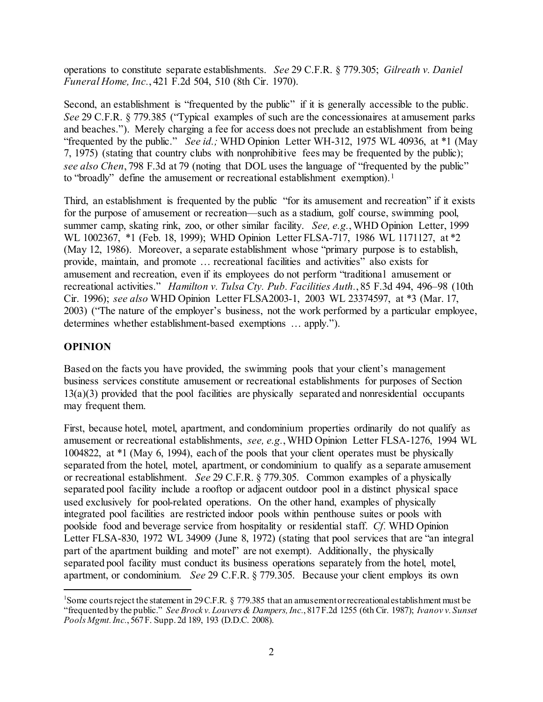operations to constitute separate establishments. *See* 29 C.F.R. § 779.305; *Gilreath v. Daniel Funeral Home, Inc.*, 421 F.2d 504, 510 (8th Cir. 1970).

Second, an establishment is "frequented by the public" if it is generally accessible to the public. *See* 29 C.F.R. § 779.385 ("Typical examples of such are the concessionaires at amusement parks and beaches."). Merely charging a fee for access does not preclude an establishment from being "frequented by the public." *See id.;* WHD Opinion Letter WH-312, 1975 WL 40936, at \*1 (May 7, 1975) (stating that country clubs with nonprohibitive fees may be frequented by the public); *see also Chen*, 798 F.3d at 79 (noting that DOL uses the language of "frequented by the public" to "broadly" define the amusement or recreational establishment exemption).<sup>[1](#page-1-0)</sup>

Third, an establishment is frequented by the public "for its amusement and recreation" if it exists for the purpose of amusement or recreation—such as a stadium, golf course, swimming pool, summer camp, skating rink, zoo, or other similar facility. *See, e.g.*, WHD Opinion Letter, 1999 WL 1002367, \*1 (Feb. 18, 1999); WHD Opinion Letter FLSA-717, 1986 WL 1171127, at \*2 (May 12, 1986). Moreover, a separate establishment whose "primary purpose is to establish, provide, maintain, and promote … recreational facilities and activities" also exists for amusement and recreation, even if its employees do not perform "traditional amusement or recreational activities." *Hamilton v. Tulsa Cty. Pub. Facilities Auth.*, 85 F.3d 494, 496–98 (10th Cir. 1996); *see also* WHD Opinion Letter FLSA2003-1, 2003 WL 23374597, at \*3 (Mar. 17, 2003) ("The nature of the employer's business, not the work performed by a particular employee, determines whether establishment-based exemptions … apply.").

## **OPINION**

Based on the facts you have provided, the swimming pools that your client's management business services constitute amusement or recreational establishments for purposes of Section 13(a)(3) provided that the pool facilities are physically separated and nonresidential occupants may frequent them.

First, because hotel, motel, apartment, and condominium properties ordinarily do not qualify as amusement or recreational establishments, *see, e.g.*, WHD Opinion Letter FLSA-1276, 1994 WL 1004822, at \*1 (May 6, 1994), each of the pools that your client operates must be physically separated from the hotel, motel, apartment, or condominium to qualify as a separate amusement or recreational establishment. *See* 29 C.F.R. § 779.305. Common examples of a physically separated pool facility include a rooftop or adjacent outdoor pool in a distinct physical space used exclusively for pool-related operations. On the other hand, examples of physically integrated pool facilities are restricted indoor pools within penthouse suites or pools with poolside food and beverage service from hospitality or residential staff. *Cf.* WHD Opinion Letter FLSA-830, 1972 WL 34909 (June 8, 1972) (stating that pool services that are "an integral part of the apartment building and motel" are not exempt). Additionally, the physically separated pool facility must conduct its business operations separately from the hotel, motel, apartment, or condominium. *See* 29 C.F.R. § 779.305. Because your client employs its own

<span id="page-1-0"></span> $\frac{1}{1}$ <sup>1</sup>Some courts reject the statement in 29 C.F.R.  $\S$  779.385 that an amusement or recreational establishment must be "frequented by the public." *See Brock v. Louvers & Dampers, Inc.*, 817 F.2d 1255 (6th Cir. 1987); *Ivanov v. Sunset Pools Mgmt. Inc.*, 567 F. Supp. 2d 189, 193 (D.D.C. 2008).